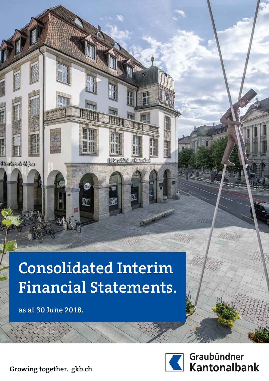# **Consolidated Interim Financial Statements.**

A

**IT** 

**as at 30 June 2018.**

Charleshad Iddae



EN 18

**ANT** 

IC Greudinen Kontrolle

Graubündner<br>Kantonalbank

**Growing together. gkb.ch**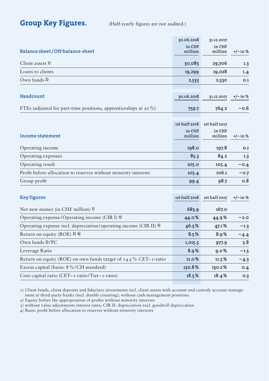### Group Key Figures. (Half-yearly figures are not audited.)

|                                                                     | 30.06.2018        | 31.12.2017        |            |
|---------------------------------------------------------------------|-------------------|-------------------|------------|
| Balance sheet/Off-balance-sheet                                     | in CHF<br>million | in CHF<br>million | $+/-$ in % |
| Client assets 1)                                                    | 30,085            | 29,706            | 1.3        |
| Loans to clients                                                    | 19,299            | 19,028            | 1.4        |
| Own funds 2)                                                        | 2,533             | 2,530             | O.1        |
|                                                                     |                   |                   |            |
| Headcount                                                           | 30.06.2018        | 31.12.2017        | $+/-$ in % |
| FTEs (adjusted for part-time positions, apprenticeships at $50\%$ ) | 759.7             | 764.2             | $-0.6$     |
|                                                                     |                   |                   |            |
|                                                                     | 1st half 2018     | 1st half 2017     |            |
| Income statement                                                    | in CHF<br>million | in CHF<br>million | +/– in %   |
|                                                                     |                   |                   |            |
| Operating income                                                    | 198.0             | 197.8             | 0.1        |
| Operating expenses                                                  | 85.3              | 84.2              | 1.3        |
| Operating result                                                    | 105.0             | 105.4             | $-0.4$     |
| Profit before allocation to reserves without minority interests     | 105.4             | 106.1             | $-0.7$     |
| Group profit                                                        | 99.4              | 98.7              | 0.8        |
|                                                                     |                   |                   |            |
| <b>Key figures</b>                                                  | 1st half 2018     | 1st half 2017     | $+/-$ in % |
| Net new money (in CHF million) 1)                                   | 683.9             | 167.0             |            |
| Operating expense/Operating income (CIR I) 3)                       | 44.0%             | 44.9%             | $-2.0$     |
| Operating expense incl. depreciation/operating income (CIR II) 3)   | 46.5%             | 47.1%             | $-1.3$     |
| Return on equity (ROE) 2) 4)                                        | 8.5%              | 8.9%              | $-4.4$     |
| Own funds 2)/PC                                                     | 1,015.5           | 977.9             | 3.8        |
| Leverage Ratio                                                      | 8.9%              | 9.0%              | $-1.5$     |
| Return on equity (ROE) on own funds target of $14.5\%$ CET-1-ratio  | 11.0%             | 11.5%             | $-4.3$     |
| Excess capital (basis: 8%/CH standard)                              | 130.8%            | 130.2%            | O.4        |
| Core capital ratio (CET- $\tau$ -ratio/Tier- $\tau$ -ratio)         | 18.5%             | 18.4%             | O.3        |
|                                                                     |                   |                   |            |

1) Client funds, client deposits and fiduciary investments incl. client assets with account and custody account management at third-party banks (incl. double counting); without cash management positions

2) Equity before the appropriation of profits without minority interests

3) without value adjustments interest rates; CIR II: depreciation excl. goodwill depreciation

4) Basis: profit before allocation to reserves without minority interests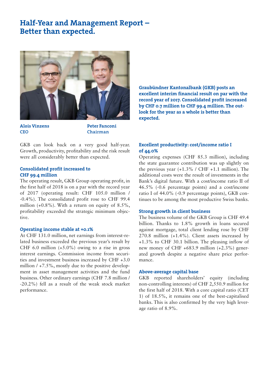### Half-Year and Management Report – Better than expected.



Alois Vinzens CEO

Peter Fanconi Chairman

GKB can look back on a very good half-year. Growth, productivity, profitability and the risk result were all considerably better than expected.

### Consolidated profit increased to CHF 99.4 million

The operating result, GKB Group operating profit, in the first half of 2018 is on a par with the record year of 2017 (operating result: CHF 105.0 million / -0.4%). The consolidated profit rose to CHF 99.4 million  $(+0.8\%)$ . With a return on equity of  $8.5\%$ . profitability exceeded the strategic minimum objective.

### Operating income stable at +0.1%

At CHF 131.0 million, net earnings from interest-related business exceeded the previous year's result by CHF 6.0 million  $(+5.0\%)$  owing to a rise in gross interest earnings. Commission income from securities and investment business increased by CHF +3.0 million  $/ +7.5\%$ , mostly due to the positive development in asset management activities and the fund business. Other ordinary earnings (CHF 7.8 million / -20.2%) fell as a result of the weak stock market performance.

Graubündner Kantonalbank (GKB) posts an excellent interim financial result on par with the record year of 2017. Consolidated profit increased by CHF 0.7 million to CHF 99.4 million. The outlook for the year as a whole is better than expected.

### Excellent productivity: cost/income ratio I of 44.0%

Operating expenses (CHF 85.3 million), including the state guarantee contribution was up slightly on the previous year  $(+1.3\%$  / CHF  $+1.1$  million). The additional costs were the result of investments in the Bank's digital future. With a cost/income ratio II of 46.5% (-0.6 percentage points) and a cost/income ratio I of 44.0% (-0.9 percentage points), GKB continues to be among the most productive Swiss banks.

### Strong growth in client business

The business volume of the GKB Group is CHF 49.4 billion. Thanks to 1.8% growth in loans secured against mortgage, total client lending rose by CHF 270.8 million (+1.4%). Client assets increased by +1.3% to CHF 30.1 billion. The pleasing inflow of new money of CHF +683.9 million (+2.3%) generated growth despite a negative share price performance.

### Above-average capital base

GKB reported shareholders' equity (including non-controlling interests) of CHF 2,550.9 million for the first half of 2018. With a core capital ratio (CET 1) of 18.5%, it remains one of the best-capitalised banks. This is also confirmed by the very high leverage ratio of 8.9%.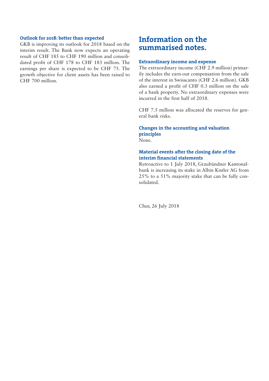### Outlook for 2018: better than expected

GKB is improving its outlook for 2018 based on the interim result. The Bank now expects an operating result of CHF 185 to CHF 190 million and consolidated profit of CHF 178 to CHF 183 million. The earnings per share is expected to be CHF 75. The growth objective for client assets has been raised to CHF 700 million.

## Information on the summarised notes.

### Extraordinary income and expense

The extraordinary income (CHF 2.9 million) primarily includes the earn-out compensation from the sale of the interest in Swisscanto (CHF 2.6 million). GKB also earned a profit of CHF 0.3 million on the sale of a bank property. No extraordinary expenses were incurred in the first half of 2018.

CHF 7.5 million was allocated the reserves for general bank risks.

### Changes in the accounting and valuation principles None.

### Material events after the closing date of the interim financial statements

Retroactive to 1 July 2018, Graubündner Kantonalbank is increasing its stake in Albin Kistler AG from 25% to a 51% majority stake that can be fully consolidated.

Chur, 26 July 2018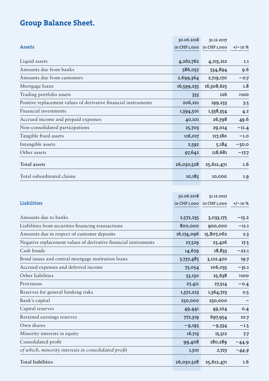# Group Balance Sheet.

|                                                                 | 30.06.2018 | 31.12.2017                |            |
|-----------------------------------------------------------------|------------|---------------------------|------------|
| <b>Assets</b>                                                   |            | in CHF 1,000 in CHF 1,000 | $+/-$ in % |
|                                                                 |            |                           |            |
| Liquid assets                                                   | 4,262,762  | 4,215,212                 | 1.1        |
| Amounts due from banks                                          | 586,057    | 534,894                   | 9.6        |
| Amounts due from customers                                      | 2,699,364  | 2,719,170                 | $-0.7$     |
| Mortgage loans                                                  | 16,599,235 | 16,308,625                | 1.8        |
| Trading portfolio assets                                        | 333        | 126                       | >100       |
| Positive replacement values of derivative financial instruments | 206,221    | 199,233                   | 3.5        |
| Financial investments                                           | 1,394,501  | 1,338,354                 | 4.2        |
| Accrued income and prepaid expenses                             | 40,101     | 26,798                    | 49.6       |
| Non-consolidated participations                                 | 25,703     | 29,014                    | $-11.4$    |
| Tangible fixed assets                                           | 116,017    | 117,180                   | $-1.0$     |
| Intangible assets                                               | 2,592      | 5,184                     | $-50.0$    |
| Other assets                                                    | 97,642     | 118,681                   | $-17.7$    |
| <b>Total assets</b>                                             | 26,030,528 | 25,612,471                | 1.6        |
| Total subordinated claims                                       | 10,185     | 10,000                    | 1.9        |

|                                                                 | 30.06.2018 | 31.12.2017                |            |
|-----------------------------------------------------------------|------------|---------------------------|------------|
| Liabilities                                                     |            | in CHF 1,000 in CHF 1,000 | $+/- in %$ |
| Amounts due to banks                                            | 2,572,235  | 3,033,175                 | $-15.2$    |
| Liabilities from securities financing transactions              | 800,000    | 900,000                   | $-11.1$    |
| Amounts due in respect of customer deposits                     | 16,174,096 | 15,807,062                | 2.3        |
| Negative replacement values of derivative financial instruments | 27,529     | 23,426                    | 17.5       |
| Cash bonds                                                      | 14,679     | 18,833                    | $-22.1$    |
| Bond issues and central mortgage institution loans              | 3,737,485  | 3,122,420                 | 19.7       |
| Accrued expenses and deferred income                            | 73,054     | 106,035                   | $-31.1$    |
| Other liabilities                                               | 53,130     | 25,638                    | >100       |
| Provisions                                                      | 27,411     | 27,514                    | $-0.4$     |
| Reserves for general banking risks                              | 1,372,223  | 1,364,723                 | O.5        |
| Bank's capital                                                  | 250,000    | 250,000                   |            |
| Capital reserves                                                | 49,441     | 49,224                    | 0.4        |
| Retained earnings reserves                                      | 772,319    | 697,954                   | 10.7       |
| Own shares                                                      | $-9,195$   | $-9,334$                  | $-1.5$     |
| Minority interests in equity                                    | 16,713     | 15,512                    | 7.7        |
| Consolidated profit                                             | 99,408     | 180,289                   | $-44.9$    |
| of which, minority interests in consolidated profit             | 1,501      | 2,723                     | $-44.9$    |
| <b>Total liabilities</b>                                        | 26,030,528 | 25,612,471                | 1.6        |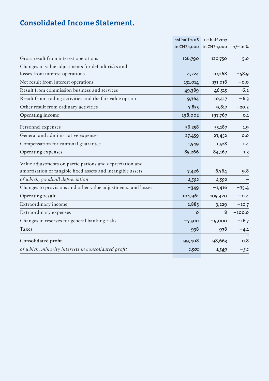# Consolidated Income Statement.

|                                                                                                                         | 1st half 2018 | 1st half 2017             |            |
|-------------------------------------------------------------------------------------------------------------------------|---------------|---------------------------|------------|
|                                                                                                                         |               | in CHF 1,000 in CHF 1,000 | $+/-$ in % |
| Gross result from interest operations                                                                                   | 126,790       | 120,750                   | 5.0        |
| Changes in value adjustments for default risks and                                                                      |               |                           |            |
| losses from interest operations                                                                                         | 4,224         | 10,268                    | $-58.9$    |
| Net result from interest operations                                                                                     | 131,014       | 131,018                   | $-0.0$     |
| Result from commission business and services                                                                            | 49,389        | 46,515                    | 6.2        |
| Result from trading activities and the fair value option                                                                | 9,764         | 10,417                    | $-6.3$     |
| Other result from ordinary activities                                                                                   | 7,835         | 9,817                     | $-20.2$    |
| Operating income                                                                                                        | 198,002       | 197,767                   | O.1        |
| Personnel expenses                                                                                                      | 56,258        | 55,187                    | 1.9        |
| General and administrative expenses                                                                                     | 27,459        | 27,452                    | 0.0        |
| Compensation for cantonal guarantee                                                                                     | 1,549         | 1,528                     | 1.4        |
| Operating expenses                                                                                                      | 85,266        | 84,167                    | 1.3        |
| Value adjustments on participations and depreciation and<br>amortisation of tangible fixed assets and intangible assets | 7,426         | 6,764                     | 9.8        |
|                                                                                                                         |               |                           |            |
| of which, goodwill depreciation                                                                                         | 2,592         | 2,592                     |            |
| Changes to provisions and other value adjustments, and losses                                                           | $-349$        | $-1,416$                  | $-75.4$    |
| Operating result                                                                                                        | 104,961       | 105,420                   | $-0.4$     |
| Extraordinary income                                                                                                    | 2,885         | 3,229                     | $-10.7$    |
| Extraordinary expenses                                                                                                  | $\Omega$      | 8                         | $-100.0$   |
| Changes in reserves for general banking risks                                                                           | $-7,500$      | $-9,000$                  | $-16.7$    |
| Taxes                                                                                                                   | 938           | 978                       | $-4.1$     |
| Consolidated profit                                                                                                     | 99,408        | 98,663                    | 0.8        |
| of which, minority interests in consolidated profit                                                                     | 1,501         | 1,549                     | $-3.1$     |
|                                                                                                                         |               |                           |            |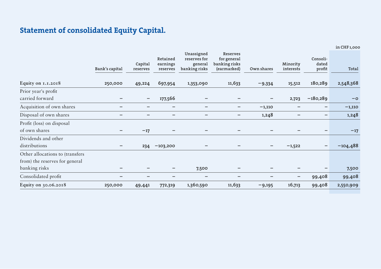# Statement of consolidated Equity Capital.

in CHF 1,000

|                                  | Bank's capital | Capital<br>reserves | Retained<br>earnings<br>reserves | Unassigned<br>reserves for<br>general<br>banking risks | <b>Reserves</b><br>for general<br>banking risks<br>(earmarked) | Own shares | Minority<br>interests | Consoli-<br>dated<br>profit | Total      |
|----------------------------------|----------------|---------------------|----------------------------------|--------------------------------------------------------|----------------------------------------------------------------|------------|-----------------------|-----------------------------|------------|
| Equity on 1.1.2018               | 250,000        | 49,224              | 697,954                          | 1,353,090                                              | 11,633                                                         | $-9,334$   | 15,512                | 180,289                     | 2,548,368  |
| Prior year's profit              |                |                     |                                  |                                                        |                                                                |            |                       |                             |            |
| carried forward                  |                | $\qquad \qquad -$   | 177,566                          |                                                        |                                                                |            | 2,723                 | $-180,289$                  | $-\circ$   |
| Acquisition of own shares        | -              | -                   | $\overline{\phantom{0}}$         | -                                                      | $\overline{\phantom{m}}$                                       | $-1,110$   |                       | -                           | $-1,110$   |
| Disposal of own shares           |                |                     |                                  |                                                        |                                                                | 1,248      |                       |                             | 1,248      |
| Profit (loss) on disposal        |                |                     |                                  |                                                        |                                                                |            |                       |                             |            |
| of own shares                    |                | $-17$               |                                  | -                                                      |                                                                |            |                       |                             | $-17$      |
| Dividends and other              |                |                     |                                  |                                                        |                                                                |            |                       |                             |            |
| distributions                    |                | 234                 | $-103,200$                       |                                                        |                                                                | -          | $-1,522$              |                             | $-104,488$ |
| Other allocations to (transfers) |                |                     |                                  |                                                        |                                                                |            |                       |                             |            |
| from) the reserves for general   |                |                     |                                  |                                                        |                                                                |            |                       |                             |            |
| banking risks                    |                |                     |                                  | 7,500                                                  |                                                                |            |                       |                             | 7,500      |
| Consolidated profit              |                |                     |                                  | -                                                      | -                                                              | -          | -                     | 99,408                      | 99,408     |
| Equity on 30.06.2018             | 250,000        | 49,441              | 772,319                          | 1,360,590                                              | 11,633                                                         | $-9,195$   | 16,713                | 99,408                      | 2,550,909  |
|                                  |                |                     |                                  |                                                        |                                                                |            |                       |                             |            |